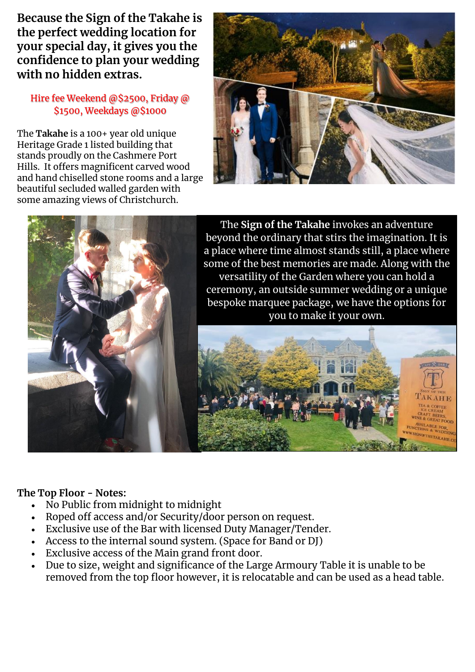**Because the Sign of the Takahe is the perfect wedding location for your special day, it gives you the confidence to plan your wedding with no hidden extras.**

### Hire fee Weekend @\$2500, Friday @ \$1500, Weekdays @\$1000

The **Takahe** is a 100+ year old unique Heritage Grade 1 listed building that stands proudly on the Cashmere Port Hills. It offers magnificent carved wood and hand chiselled stone rooms and a large beautiful secluded walled garden with some amazing views of Christchurch.





## **The Top Floor - Notes:**

- No Public from midnight to midnight
- Roped off access and/or Security/door person on request.
- Exclusive use of the Bar with licensed Duty Manager/Tender.
- Access to the internal sound system. (Space for Band or DJ)
- Exclusive access of the Main grand front door.
- Due to size, weight and significance of the Large Armoury Table it is unable to be removed from the top floor however, it is relocatable and can be used as a head table.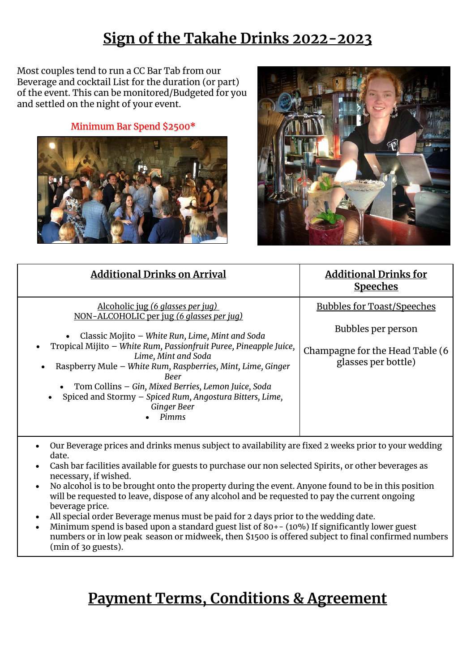# **Sign of the Takahe Drinks 2022-2023**

Most couples tend to run a CC Bar Tab from our Beverage and cocktail List for the duration (or part) of the event. This can be monitored/Budgeted for you and settled on the night of your event.

Minimum Bar Spend \$2500\*





| <b>Additional Drinks on Arrival</b>                                                                                                                                                                                                                                                                                                                                                                                                                                                     | <b>Additional Drinks for</b><br><b>Speeches</b>                                                                   |
|-----------------------------------------------------------------------------------------------------------------------------------------------------------------------------------------------------------------------------------------------------------------------------------------------------------------------------------------------------------------------------------------------------------------------------------------------------------------------------------------|-------------------------------------------------------------------------------------------------------------------|
| <u>Alcoholic jug (6 glasses per jug)</u><br>NON-ALCOHOLIC per jug (6 glasses per jug)<br>Classic Mojito - White Run, Lime, Mint and Soda<br>Tropical Mijito - White Rum, Passionfruit Puree, Pineapple Juice,<br>$\bullet$<br>Lime, Mint and Soda<br>Raspberry Mule - White Rum, Raspberries, Mint, Lime, Ginger<br>$\bullet$<br>Beer<br>Tom Collins - Gin, Mixed Berries, Lemon Juice, Soda<br>Spiced and Stormy - Spiced Rum, Angostura Bitters, Lime,<br><b>Ginger Beer</b><br>Pimms | <b>Bubbles for Toast/Speeches</b><br>Bubbles per person<br>Champagne for the Head Table (6<br>glasses per bottle) |
| Our Beverage prices and drinks menus subject to availability are fixed 2 weeks prior to your wedding<br>date.<br>Cash bar facilities available for guests to purchase our non selected Spirits, or other beverages as                                                                                                                                                                                                                                                                   |                                                                                                                   |

- Cash bar facilities available for guests to purchase our non selected Spirits, or other beverages as necessary, if wished.
- No alcohol is to be brought onto the property during the event. Anyone found to be in this position will be requested to leave, dispose of any alcohol and be requested to pay the current ongoing beverage price.
- All special order Beverage menus must be paid for 2 days prior to the wedding date.
- Minimum spend is based upon a standard guest list of  $80+-(10%)$  If significantly lower guest numbers or in low peak season or midweek, then \$1500 is offered subject to final confirmed numbers (min of 3o guests).

# **Payment Terms, Conditions & Agreement**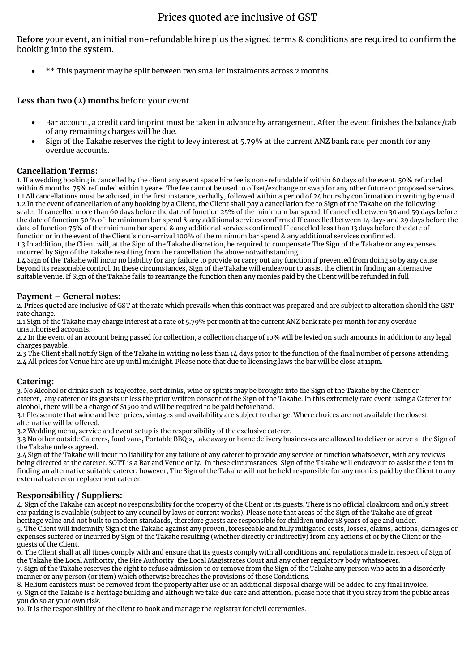### Prices quoted are inclusive of GST

**Before** your event, an initial non-refundable hire plus the signed terms & conditions are required to confirm the booking into the system.

• \*\* This payment may be split between two smaller instalments across 2 months.

**Less than two (2) months** before your event

- Bar account, a credit card imprint must be taken in advance by arrangement. After the event finishes the balance/tab of any remaining charges will be due.
- Sign of the Takahe reserves the right to levy interest at 5.79% at the current ANZ bank rate per month for any overdue accounts.

#### **Cancellation Terms:**

1. If a wedding booking is cancelled by the client any event space hire fee is non-refundable if within 60 days of the event. 50% refunded within 6 months. 75% refunded within 1 year+. The fee cannot be used to offset/exchange or swap for any other future or proposed services. 1.1 All cancellations must be advised, in the first instance, verbally, followed within a period of  $24$  hours by confirmation in writing by email. 1.2 In the event of cancellation of any booking by a Client, the Client shall pay a cancellation fee to Sign of the Takahe on the following scale: If cancelled more than 60 days before the date of function 25% of the minimum bar spend. If cancelled between 30 and 59 days before the date of function 50 % of the minimum bar spend & any additional services confirmed If cancelled between 14 days and 29 days before the date of function 75% of the minimum bar spend & any additional services confirmed If cancelled less than 13 days before the date of function or in the event of the Client's non-arrival 100% of the minimum bar spend & any additional services confirmed.

1.3 In addition, the Client will, at the Sign of the Takahe discretion, be required to compensate The Sign of the Takahe or any expenses incurred by Sign of the Takahe resulting from the cancellation the above notwithstanding.

1.4 Sign of the Takahe will incur no liability for any failure to provide or carry out any function if prevented from doing so by any cause beyond its reasonable control. In these circumstances, Sign of the Takahe will endeavour to assist the client in finding an alternative suitable venue. If Sign of the Takahe fails to rearrange the function then any monies paid by the Client will be refunded in full

#### **Payment – General notes:**

2. Prices quoted are inclusive of GST at the rate which prevails when this contract was prepared and are subject to alteration should the GST rate change.

2.1 Sign of the Takahe may charge interest at a rate of 5.79% per month at the current ANZ bank rate per month for any overdue unauthorised accounts.

2.2 In the event of an account being passed for collection, a collection charge of 10% will be levied on such amounts in addition to any legal charges payable.

2.3 The Client shall notify Sign of the Takahe in writing no less than 14 days prior to the function of the final number of persons attending. 2.4 All prices for Venue hire are up until midnight. Please note that due to licensing laws the bar will be close at 11pm.

#### **Catering:**

3. No Alcohol or drinks such as tea/coffee, soft drinks, wine or spirits may be brought into the Sign of the Takahe by the Client or caterer, any caterer or its guests unless the prior written consent of the Sign of the Takahe. In this extremely rare event using a Caterer for alcohol, there will be a charge of \$1500 and will be required to be paid beforehand.

3.1 Please note that wine and beer prices, vintages and availability are subject to change. Where choices are not available the closest alternative will be offered.

3.2 Wedding menu, service and event setup is the responsibility of the exclusive caterer.

3.3 No other outside Caterers, food vans, Portable BBQ's, take away or home delivery businesses are allowed to deliver or serve at the Sign of the Takahe unless agreed.

3.4 Sign of the Takahe will incur no liability for any failure of any caterer to provide any service or function whatsoever, with any reviews being directed at the caterer. SOTT is a Bar and Venue only. In these circumstances, Sign of the Takahe will endeavour to assist the client in finding an alternative suitable caterer, however, The Sign of the Takahe will not be held responsible for any monies paid by the Client to any external caterer or replacement caterer.

#### **Responsibility / Suppliers:**

4. Sign of the Takahe can accept no responsibility for the property of the Client or its guests. There is no official cloakroom and only street car parking is available (subject to any council by laws or current works). Please note that areas of the Sign of the Takahe are of great heritage value and not built to modern standards, therefore guests are responsible for children under 18 years of age and under. 5. The Client will indemnify Sign of the Takahe against any proven, foreseeable and fully mitigated costs, losses, claims, actions, damages or expenses suffered or incurred by Sign of the Takahe resulting (whether directly or indirectly) from any actions of or by the Client or the guests of the Client.

6. The Client shall at all times comply with and ensure that its guests comply with all conditions and regulations made in respect of Sign of the Takahe the Local Authority, the Fire Authority, the Local Magistrates Court and any other regulatory body whatsoever.

7. Sign of the Takahe reserves the right to refuse admission to or remove from the Sign of the Takahe any person who acts in a disorderly manner or any person (or item) which otherwise breaches the provisions of these Conditions.

8. Helium canisters must be removed from the property after use or an additional disposal charge will be added to any final invoice. 9. Sign of the Takahe is a heritage building and although we take due care and attention, please note that if you stray from the public areas you do so at your own risk.

10. It is the responsibility of the client to book and manage the registrar for civil ceremonies.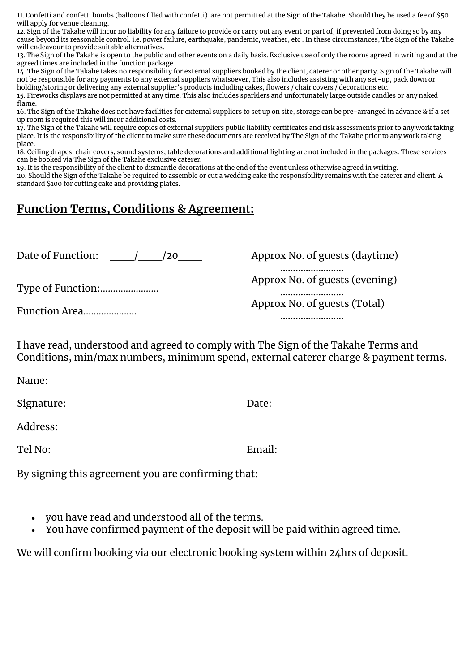11. Confetti and confetti bombs (balloons filled with confetti) are not permitted at the Sign of the Takahe. Should they be used a fee of \$50 will apply for venue cleaning.

12. Sign of the Takahe will incur no liability for any failure to provide or carry out any event or part of, if prevented from doing so by any cause beyond its reasonable control. i.e. power failure, earthquake, pandemic, weather, etc . In these circumstances, The Sign of the Takahe will endeavour to provide suitable alternatives.

13. The Sign of the Takahe is open to the public and other events on a daily basis. Exclusive use of only the rooms agreed in writing and at the agreed times are included in the function package.

14. The Sign of the Takahe takes no responsibility for external suppliers booked by the client, caterer or other party. Sign of the Takahe will not be responsible for any payments to any external suppliers whatsoever, This also includes assisting with any set-up, pack down or holding/storing or delivering any external supplier's products including cakes, flowers / chair covers / decorations etc.

15. Fireworks displays are not permitted at any time. This also includes sparklers and unfortunately large outside candles or any naked flame.

16. The Sign of the Takahe does not have facilities for external suppliers to set up on site, storage can be pre-arranged in advance & if a set up room is required this will incur additional costs.

17. The Sign of the Takahe will require copies of external suppliers public liability certificates and risk assessments prior to any work taking place. It is the responsibility of the client to make sure these documents are received by The Sign of the Takahe prior to any work taking place.

18. Ceiling drapes, chair covers, sound systems, table decorations and additional lighting are not included in the packages. These services can be booked via The Sign of the Takahe exclusive caterer.

19. It is the responsibility of the client to dismantle decorations at the end of the event unless otherwise agreed in writing.

20. Should the Sign of the Takahe be required to assemble or cut a wedding cake the responsibility remains with the caterer and client. A standard \$100 for cutting cake and providing plates.

## **Function Terms, Conditions & Agreement:**

Date of Function:  $\frac{\sqrt{20}}{\sqrt{20}}$ 

Type of Function:.......................

Function Area.....................

Approx No. of guests (daytime) ......................... Approx No. of guests (evening) ......................... Approx No. of guests (Total) .........................

I have read, understood and agreed to comply with The Sign of the Takahe Terms and Conditions, min/max numbers, minimum spend, external caterer charge & payment terms.

Name:

Signature: Date:

Address:

Tel No: Email:

By signing this agreement you are confirming that:

- you have read and understood all of the terms.
- You have confirmed payment of the deposit will be paid within agreed time.

We will confirm booking via our electronic booking system within 24hrs of deposit.